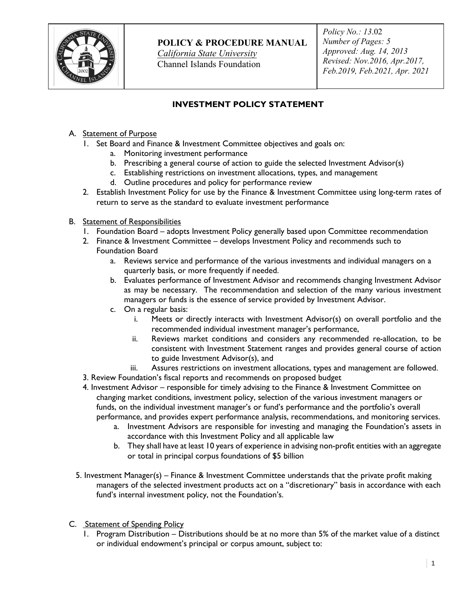

**POLICY & PROCEDURE MANUAL**

*California State University* Channel Islands Foundation

*Policy No.: 13*.02 *Number of Pages: 5 Approved: Aug. 14, 2013 Revised: Nov.2016, Apr.2017, Feb.2019, Feb.2021, Apr. 2021*

# **INVESTMENT POLICY STATEMENT**

- A. Statement of Purpose
	- 1. Set Board and Finance & Investment Committee objectives and goals on:
		- a. Monitoring investment performance
		- b. Prescribing a general course of action to guide the selected Investment Advisor(s)
		- c. Establishing restrictions on investment allocations, types, and management
		- d. Outline procedures and policy for performance review
	- 2. Establish Investment Policy for use by the Finance & Investment Committee using long-term rates of return to serve as the standard to evaluate investment performance
- B. Statement of Responsibilities
	- 1. Foundation Board adopts Investment Policy generally based upon Committee recommendation
	- 2. Finance & Investment Committee develops Investment Policy and recommends such to Foundation Board
		- a. Reviews service and performance of the various investments and individual managers on a quarterly basis, or more frequently if needed.
		- b. Evaluates performance of Investment Advisor and recommends changing Investment Advisor as may be necessary. The recommendation and selection of the many various investment managers or funds is the essence of service provided by Investment Advisor.
		- c. On a regular basis:
			- i. Meets or directly interacts with Investment Advisor(s) on overall portfolio and the recommended individual investment manager's performance,
			- ii. Reviews market conditions and considers any recommended re-allocation, to be consistent with Investment Statement ranges and provides general course of action to guide Investment Advisor(s), and
			- iii. Assures restrictions on investment allocations, types and management are followed.
	- 3. Review Foundation's fiscal reports and recommends on proposed budget
	- 4. Investment Advisor responsible for timely advising to the Finance & Investment Committee on changing market conditions, investment policy, selection of the various investment managers or funds, on the individual investment manager's or fund's performance and the portfolio's overall performance, and provides expert performance analysis, recommendations, and monitoring services.
		- a. Investment Advisors are responsible for investing and managing the Foundation's assets in accordance with this Investment Policy and all applicable law
		- b. They shall have at least 10 years of experience in advising non-profit entities with an aggregate or total in principal corpus foundations of \$5 billion
	- 5. Investment Manager(s) Finance & Investment Committee understands that the private profit making managers of the selected investment products act on a "discretionary" basis in accordance with each fund's internal investment policy, not the Foundation's.
- C. Statement of Spending Policy
	- 1. Program Distribution Distributions should be at no more than 5% of the market value of a distinct or individual endowment's principal or corpus amount, subject to: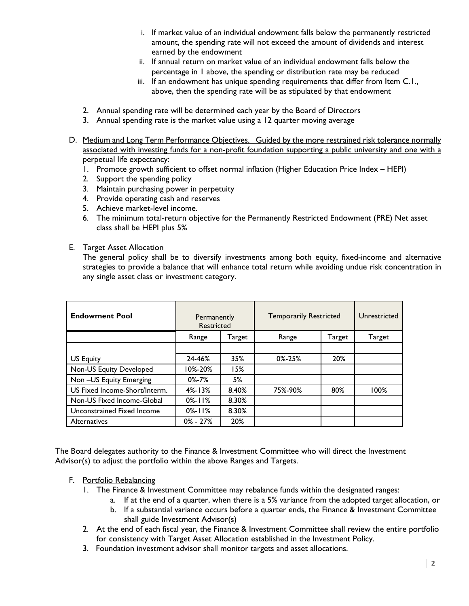- i. If market value of an individual endowment falls below the permanently restricted amount, the spending rate will not exceed the amount of dividends and interest earned by the endowment
- ii. If annual return on market value of an individual endowment falls below the percentage in 1 above, the spending or distribution rate may be reduced
- iii. If an endowment has unique spending requirements that differ from Item C.1., above, then the spending rate will be as stipulated by that endowment
- 2. Annual spending rate will be determined each year by the Board of Directors
- 3. Annual spending rate is the market value using a 12 quarter moving average
- D. Medium and Long Term Performance Objectives. Guided by the more restrained risk tolerance normally associated with investing funds for a non-profit foundation supporting a public university and one with a perpetual life expectancy:
	- 1. Promote growth sufficient to offset normal inflation (Higher Education Price Index HEPI)
	- 2. Support the spending policy
	- 3. Maintain purchasing power in perpetuity
	- 4. Provide operating cash and reserves
	- 5. Achieve market-level income.
	- 6. The minimum total-return objective for the Permanently Restricted Endowment (PRE) Net asset class shall be HEPI plus 5%
- E. Target Asset Allocation

The general policy shall be to diversify investments among both equity, fixed-income and alternative strategies to provide a balance that will enhance total return while avoiding undue risk concentration in any single asset class or investment category.

| <b>Endowment Pool</b>         | Permanently<br><b>Restricted</b> |        | <b>Temporarily Restricted</b> |        | Unrestricted |
|-------------------------------|----------------------------------|--------|-------------------------------|--------|--------------|
|                               | Range                            | Target | Range                         | Target | Target       |
|                               |                                  |        |                               |        |              |
| US Equity                     | 24-46%                           | 35%    | $0\% - 25\%$                  | 20%    |              |
| Non-US Equity Developed       | 10%-20%                          | 15%    |                               |        |              |
| Non-US Equity Emerging        | $0\% - 7\%$                      | 5%     |                               |        |              |
| US Fixed Income-Short/Interm. | $4\% - 13\%$                     | 8.40%  | 75%-90%                       | 80%    | 100%         |
| Non-US Fixed Income-Global    | $0\% - 11\%$                     | 8.30%  |                               |        |              |
| Unconstrained Fixed Income    | $0\% - 11\%$                     | 8.30%  |                               |        |              |
| <b>Alternatives</b>           | $0\% - 27\%$                     | 20%    |                               |        |              |

The Board delegates authority to the Finance & Investment Committee who will direct the Investment Advisor(s) to adjust the portfolio within the above Ranges and Targets.

## F. Portfolio Rebalancing

- 1. The Finance & Investment Committee may rebalance funds within the designated ranges:
	- a. If at the end of a quarter, when there is a 5% variance from the adopted target allocation, or b. If a substantial variance occurs before a quarter ends, the Finance & Investment Committee
		- shall guide Investment Advisor(s)
- 2. At the end of each fiscal year, the Finance & Investment Committee shall review the entire portfolio for consistency with Target Asset Allocation established in the Investment Policy.
- 3. Foundation investment advisor shall monitor targets and asset allocations.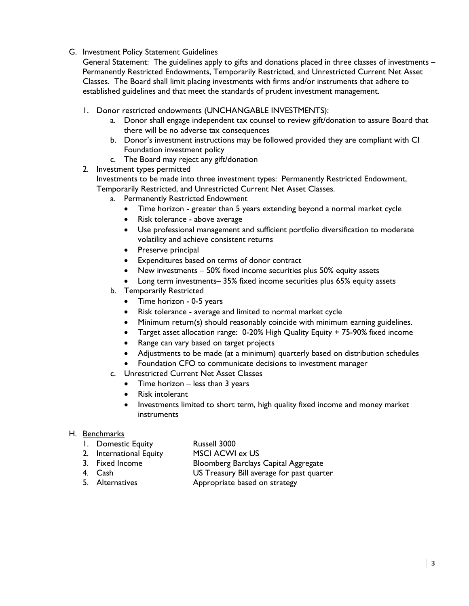G. Investment Policy Statement Guidelines

General Statement: The guidelines apply to gifts and donations placed in three classes of investments – Permanently Restricted Endowments, Temporarily Restricted, and Unrestricted Current Net Asset Classes. The Board shall limit placing investments with firms and/or instruments that adhere to established guidelines and that meet the standards of prudent investment management.

- 1. Donor restricted endowments (UNCHANGABLE INVESTMENTS):
	- a. Donor shall engage independent tax counsel to review gift/donation to assure Board that there will be no adverse tax consequences
	- b. Donor's investment instructions may be followed provided they are compliant with CI Foundation investment policy
	- c. The Board may reject any gift/donation
- 2. Investment types permitted

Investments to be made into three investment types: Permanently Restricted Endowment, Temporarily Restricted, and Unrestricted Current Net Asset Classes.

- a. Permanently Restricted Endowment
	- Time horizon greater than 5 years extending beyond a normal market cycle
	- Risk tolerance above average
	- Use professional management and sufficient portfolio diversification to moderate volatility and achieve consistent returns
	- Preserve principal
	- Expenditures based on terms of donor contract
	- New investments 50% fixed income securities plus 50% equity assets
	- Long term investments– 35% fixed income securities plus 65% equity assets
- b. Temporarily Restricted
	- Time horizon 0-5 years
	- Risk tolerance average and limited to normal market cycle
	- Minimum return(s) should reasonably coincide with minimum earning guidelines.
	- Target asset allocation range: 0-20% High Quality Equity + 75-90% fixed income
	- Range can vary based on target projects
	- Adjustments to be made (at a minimum) quarterly based on distribution schedules
	- Foundation CFO to communicate decisions to investment manager
- c. Unrestricted Current Net Asset Classes
	- Time horizon less than 3 years
	- Risk intolerant
	- Investments limited to short term, high quality fixed income and money market instruments

## H. Benchmarks

- 1. Domestic Equity Russell 3000
- 2. International Equity MSCI ACWI ex US
- 3. Fixed Income Bloomberg Barclays Capital Aggregate
- 
- 4. Cash US Treasury Bill average for past quarter
- 5. Alternatives **Appropriate based on strategy**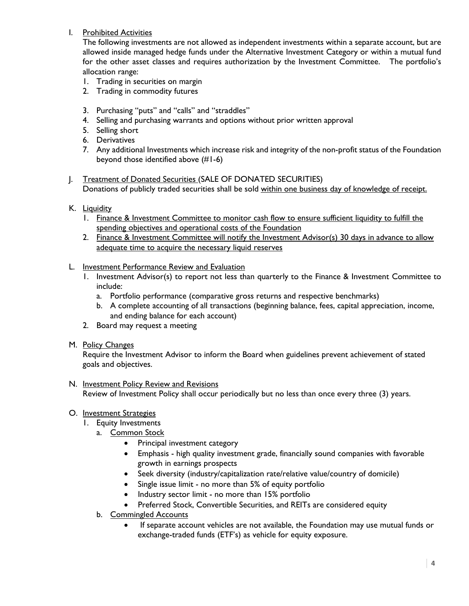I. Prohibited Activities

The following investments are not allowed as independent investments within a separate account, but are allowed inside managed hedge funds under the Alternative Investment Category or within a mutual fund for the other asset classes and requires authorization by the Investment Committee. The portfolio's allocation range:

- 1. Trading in securities on margin
- 2. Trading in commodity futures
- 3. Purchasing "puts" and "calls" and "straddles"
- 4. Selling and purchasing warrants and options without prior written approval
- 5. Selling short
- 6. Derivatives
- 7. Any additional Investments which increase risk and integrity of the non-profit status of the Foundation beyond those identified above (#1-6)
- J. Treatment of Donated Securities (SALE OF DONATED SECURITIES) Donations of publicly traded securities shall be sold within one business day of knowledge of receipt.
- K. Liquidity
	- 1. Finance & Investment Committee to monitor cash flow to ensure sufficient liquidity to fulfill the spending objectives and operational costs of the Foundation
	- 2. Finance & Investment Committee will notify the Investment Advisor(s) 30 days in advance to allow adequate time to acquire the necessary liquid reserves
- L. Investment Performance Review and Evaluation
	- 1. Investment Advisor(s) to report not less than quarterly to the Finance & Investment Committee to include:
		- a. Portfolio performance (comparative gross returns and respective benchmarks)
		- b. A complete accounting of all transactions (beginning balance, fees, capital appreciation, income, and ending balance for each account)
	- 2. Board may request a meeting
- M. Policy Changes

Require the Investment Advisor to inform the Board when guidelines prevent achievement of stated goals and objectives.

- N. Investment Policy Review and Revisions Review of Investment Policy shall occur periodically but no less than once every three (3) years.
- O. Investment Strategies
	- 1. Equity Investments
		- a. Common Stock
			- Principal investment category
			- Emphasis high quality investment grade, financially sound companies with favorable growth in earnings prospects
			- Seek diversity (industry/capitalization rate/relative value/country of domicile)
			- Single issue limit no more than 5% of equity portfolio
			- Industry sector limit no more than 15% portfolio
			- Preferred Stock, Convertible Securities, and REITs are considered equity
		- b. Commingled Accounts
			- If separate account vehicles are not available, the Foundation may use mutual funds or exchange-traded funds (ETF's) as vehicle for equity exposure.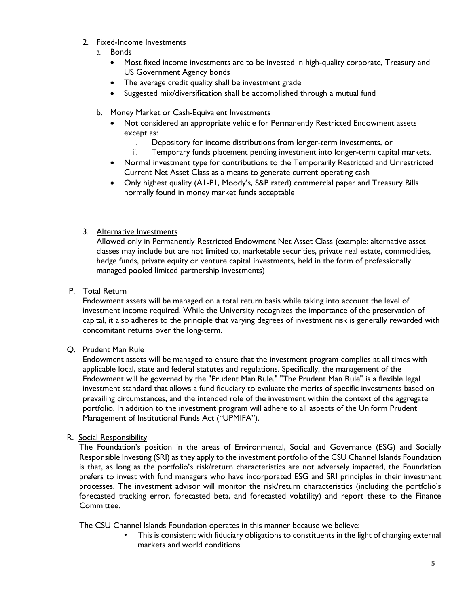- 2. Fixed-Income Investments
	- a. Bonds
		- Most fixed income investments are to be invested in high-quality corporate, Treasury and US Government Agency bonds
		- The average credit quality shall be investment grade
		- Suggested mix/diversification shall be accomplished through a mutual fund
	- b. Money Market or Cash-Equivalent Investments
		- Not considered an appropriate vehicle for Permanently Restricted Endowment assets except as:
			- i. Depository for income distributions from longer-term investments, or
			- ii. Temporary funds placement pending investment into longer-term capital markets.
		- Normal investment type for contributions to the Temporarily Restricted and Unrestricted Current Net Asset Class as a means to generate current operating cash
		- Only highest quality (A1-P1, Moody's, S&P rated) commercial paper and Treasury Bills normally found in money market funds acceptable

## 3. Alternative Investments

Allowed only in Permanently Restricted Endowment Net Asset Class (example: alternative asset classes may include but are not limited to, marketable securities, private real estate, commodities, hedge funds, private equity or venture capital investments, held in the form of professionally managed pooled limited partnership investments)

## P. Total Return

Endowment assets will be managed on a total return basis while taking into account the level of investment income required. While the University recognizes the importance of the preservation of capital, it also adheres to the principle that varying degrees of investment risk is generally rewarded with concomitant returns over the long-term.

## Q. Prudent Man Rule

Endowment assets will be managed to ensure that the investment program complies at all times with applicable local, state and federal statutes and regulations. Specifically, the management of the Endowment will be governed by the "Prudent Man Rule." "The Prudent Man Rule" is a flexible legal investment standard that allows a fund fiduciary to evaluate the merits of specific investments based on prevailing circumstances, and the intended role of the investment within the context of the aggregate portfolio. In addition to the investment program will adhere to all aspects of the Uniform Prudent Management of Institutional Funds Act ("UPMIFA").

## R. Social Responsibility

The Foundation's position in the areas of Environmental, Social and Governance (ESG) and Socially Responsible Investing (SRI) as they apply to the investment portfolio of the CSU Channel Islands Foundation is that, as long as the portfolio's risk/return characteristics are not adversely impacted, the Foundation prefers to invest with fund managers who have incorporated ESG and SRI principles in their investment processes. The investment advisor will monitor the risk/return characteristics (including the portfolio's forecasted tracking error, forecasted beta, and forecasted volatility) and report these to the Finance Committee.

The CSU Channel Islands Foundation operates in this manner because we believe:

This is consistent with fiduciary obligations to constituents in the light of changing external markets and world conditions.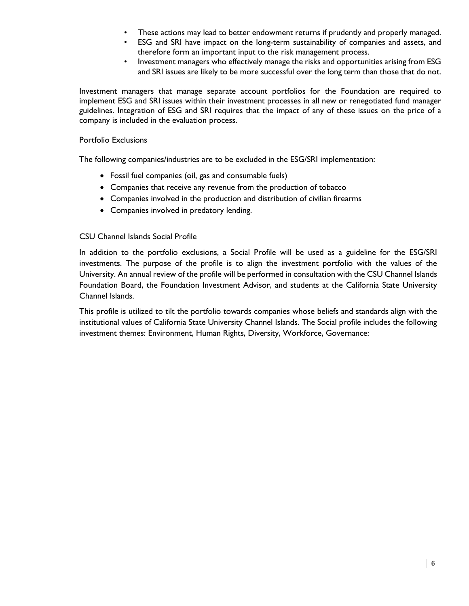- These actions may lead to better endowment returns if prudently and properly managed.
- ESG and SRI have impact on the long-term sustainability of companies and assets, and therefore form an important input to the risk management process.
- Investment managers who effectively manage the risks and opportunities arising from ESG and SRI issues are likely to be more successful over the long term than those that do not.

Investment managers that manage separate account portfolios for the Foundation are required to implement ESG and SRI issues within their investment processes in all new or renegotiated fund manager guidelines. Integration of ESG and SRI requires that the impact of any of these issues on the price of a company is included in the evaluation process.

#### Portfolio Exclusions

The following companies/industries are to be excluded in the ESG/SRI implementation:

- Fossil fuel companies (oil, gas and consumable fuels)
- Companies that receive any revenue from the production of tobacco
- Companies involved in the production and distribution of civilian firearms
- Companies involved in predatory lending.

#### CSU Channel Islands Social Profile

In addition to the portfolio exclusions, a Social Profile will be used as a guideline for the ESG/SRI investments. The purpose of the profile is to align the investment portfolio with the values of the University. An annual review of the profile will be performed in consultation with the CSU Channel Islands Foundation Board, the Foundation Investment Advisor, and students at the California State University Channel Islands.

This profile is utilized to tilt the portfolio towards companies whose beliefs and standards align with the institutional values of California State University Channel Islands. The Social profile includes the following investment themes: Environment, Human Rights, Diversity, Workforce, Governance: